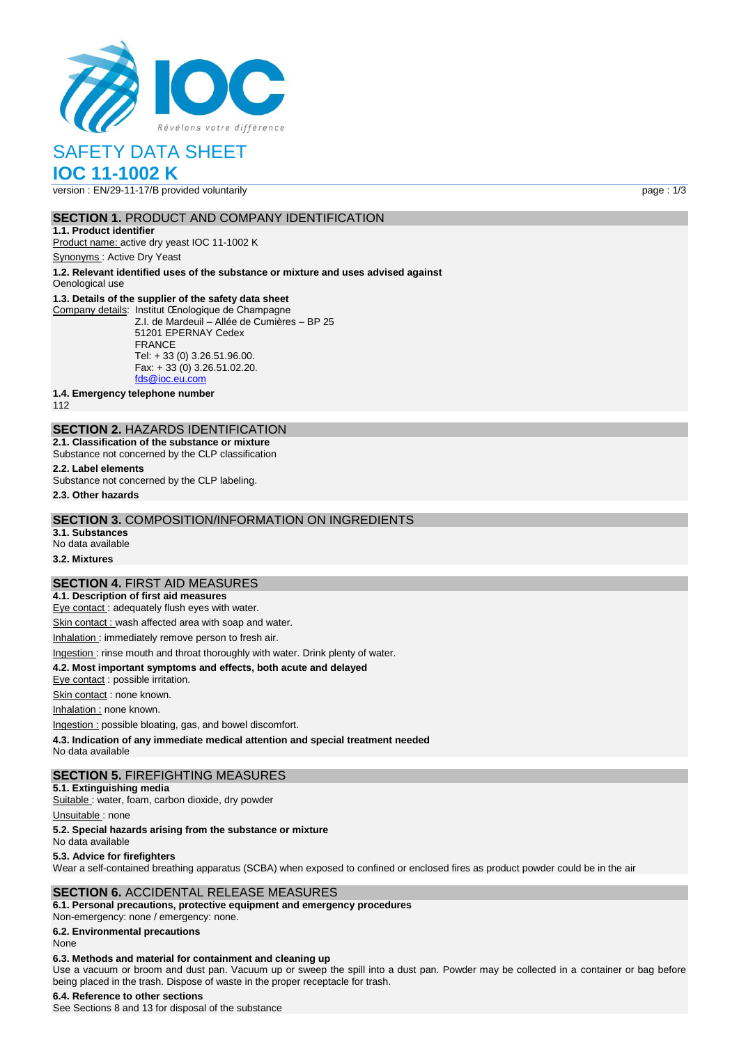

# SAFETY DATA SHEET

# **IOC 11-1002 K**

version : EN/29-11-17/B provided voluntarily page : 1/3

### **SECTION 1.** PRODUCT AND COMPANY IDENTIFICATION

**1.1. Product identifier** Product name: active dry yeast IOC 11-1002 K

Synonyms : Active Dry Yeast

**1.2. Relevant identified uses of the substance or mixture and uses advised against**

# Oenological use

# **1.3. Details of the supplier of the safety data sheet**

Company details: Institut Œnologique de Champagne Z.I. de Mardeuil – Allée de Cumières – BP 25 51201 EPERNAY Cedex FRANCE Tel: + 33 (0) 3.26.51.96.00. Fax: + 33 (0) 3.26.51.02.20. [fds@ioc.eu.com](mailto:fds@ioc.eu.com)

**1.4. Emergency telephone number**

112

# **SECTION 2.** HAZARDS IDENTIFICATION

**2.1. Classification of the substance or mixture** Substance not concerned by the CLP classification

# **2.2. Label elements**

Substance not concerned by the CLP labeling.

**2.3. Other hazards**

### **SECTION 3.** COMPOSITION/INFORMATION ON INGREDIENTS

**3.1. Substances** No data available

# **3.2. Mixtures**

### **SECTION 4.** FIRST AID MEASURES

**4.1. Description of first aid measures** Eye contact : adequately flush eyes with water.

Skin contact : wash affected area with soap and water.

Inhalation : immediately remove person to fresh air.

### Ingestion : rinse mouth and throat thoroughly with water. Drink plenty of water.

**4.2. Most important symptoms and effects, both acute and delayed**

Eye contact : possible irritation.

Skin contact : none known.

Inhalation : none known.

Ingestion : possible bloating, gas, and bowel discomfort.

**4.3. Indication of any immediate medical attention and special treatment needed**

No data available

### **SECTION 5.** FIREFIGHTING MEASURES

**5.1. Extinguishing media**

Suitable : water, foam, carbon dioxide, dry powder

Unsuitable: none

### **5.2. Special hazards arising from the substance or mixture**

No data available

### **5.3. Advice for firefighters**

Wear a self-contained breathing apparatus (SCBA) when exposed to confined or enclosed fires as product powder could be in the air

### **SECTION 6.** ACCIDENTAL RELEASE MEASURES

**6.1. Personal precautions, protective equipment and emergency procedures** Non‐emergency: none / emergency: none.

**6.2. Environmental precautions**

### None

### **6.3. Methods and material for containment and cleaning up**

Use a vacuum or broom and dust pan. Vacuum up or sweep the spill into a dust pan. Powder may be collected in a container or bag before being placed in the trash. Dispose of waste in the proper receptacle for trash.

#### **6.4. Reference to other sections**

See Sections 8 and 13 for disposal of the substance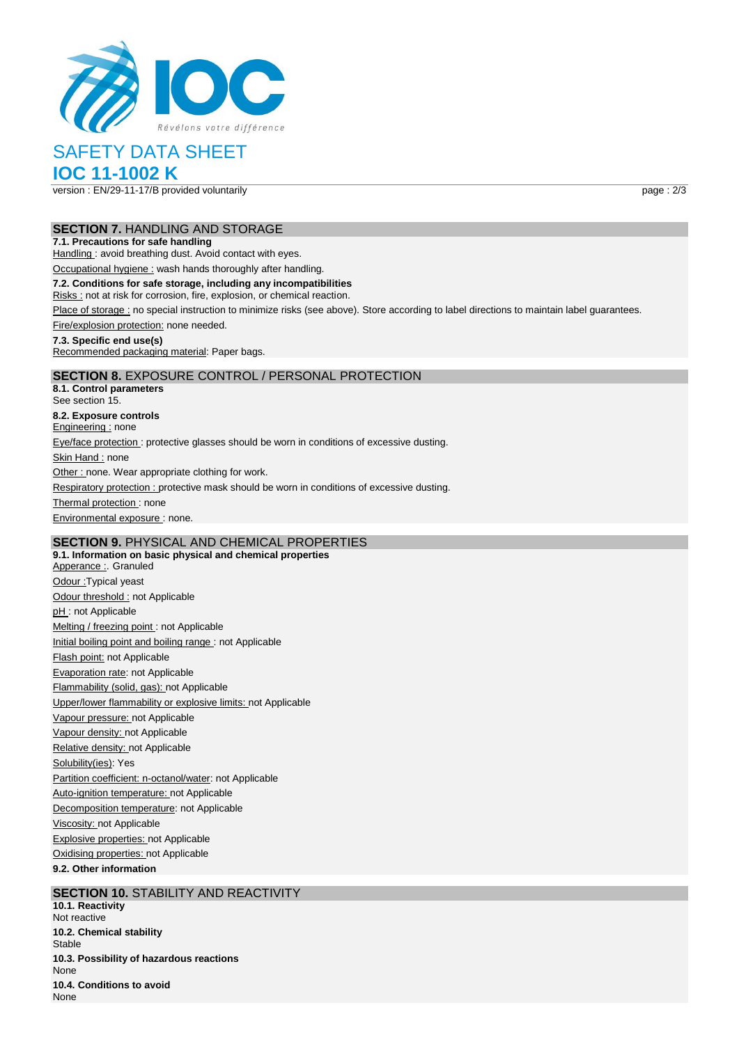

# SAFETY DATA SHEET

**IOC 11-1002 K**

version : EN/29-11-17/B provided voluntarily page : 2/3

### **SECTION 7.** HANDLING AND STORAGE

### **7.1. Precautions for safe handling**

Handling : avoid breathing dust. Avoid contact with eyes.

Occupational hygiene : wash hands thoroughly after handling.

### **7.2. Conditions for safe storage, including any incompatibilities**

Risks : not at risk for corrosion, fire, explosion, or chemical reaction.

Place of storage : no special instruction to minimize risks (see above). Store according to label directions to maintain label guarantees.

Fire/explosion protection: none needed.

### **7.3. Specific end use(s)**

Recommended packaging material: Paper bags.

### **SECTION 8.** EXPOSURE CONTROL / PERSONAL PROTECTION

**8.1. Control parameters** See section 15. **8.2. Exposure controls** Engineering : none Eye/face protection : protective glasses should be worn in conditions of excessive dusting. Skin Hand : none Other : none. Wear appropriate clothing for work. Respiratory protection : protective mask should be worn in conditions of excessive dusting. Thermal protection: none Environmental exposure : none.

# **SECTION 9.** PHYSICAL AND CHEMICAL PROPERTIES

**9.1. Information on basic physical and chemical properties** Apperance : Granuled Odour :Typical yeast Odour threshold : not Applicable pH: not Applicable Melting / freezing point : not Applicable Initial boiling point and boiling range : not Applicable Flash point: not Applicable Evaporation rate: not Applicable Flammability (solid, gas): not Applicable Upper/lower flammability or explosive limits: not Applicable Vapour pressure: not Applicable Vapour density: not Applicable Relative density: not Applicable Solubility(ies): Yes Partition coefficient: n-octanol/water: not Applicable Auto-ignition temperature: not Applicable Decomposition temperature: not Applicable Viscosity: not Applicable Explosive properties: not Applicable Oxidising properties: not Applicable **9.2. Other information**

### **SECTION 10. STABILITY AND REACTIVITY**

**10.1. Reactivity** Not reactive **10.2. Chemical stability** Stable **10.3. Possibility of hazardous reactions** None **10.4. Conditions to avoid** None